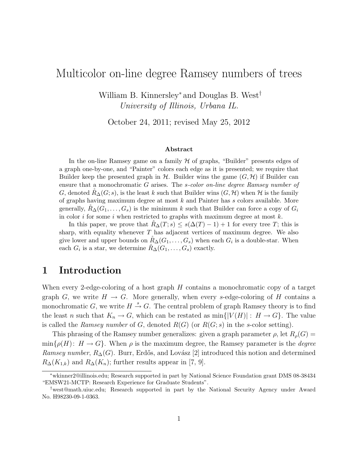# Multicolor on-line degree Ramsey numbers of trees

William B. Kinnersley<sup>∗</sup> and Douglas B. West† University of Illinois, Urbana IL.

October 24, 2011; revised May 25, 2012

#### Abstract

In the on-line Ramsey game on a family  $H$  of graphs, "Builder" presents edges of a graph one-by-one, and "Painter" colors each edge as it is presented; we require that Builder keep the presented graph in  $H$ . Builder wins the game  $(G, H)$  if Builder can ensure that a monochromatic G arises. The *s-color on-line degree Ramsey number of* G, denoted  $R_{\Delta}(G; s)$ , is the least k such that Builder wins  $(G, \mathcal{H})$  when H is the family of graphs having maximum degree at most k and Painter has s colors available. More generally,  $R_{\Delta}(G_1, \ldots, G_s)$  is the minimum k such that Builder can force a copy of  $G_i$ in color i for some i when restricted to graphs with maximum degree at most  $k$ .

In this paper, we prove that  $R_{\Delta}(T; s) \leq s(\Delta(T) - 1) + 1$  for every tree T; this is sharp, with equality whenever  $T$  has adjacent vertices of maximum degree. We also give lower and upper bounds on  $\mathring{R}_{\Delta}(G_1, \ldots, G_s)$  when each  $G_i$  is a double-star. When each  $G_i$  is a star, we determine  $\mathring{R}_{\Delta}(G_1, \ldots, G_s)$  exactly.

### 1 Introduction

When every 2-edge-coloring of a host graph H contains a monochromatic copy of a target graph G, we write  $H \to G$ . More generally, when every s-edge-coloring of H contains a monochromatic G, we write  $H \stackrel{s}{\rightarrow} G$ . The central problem of graph Ramsey theory is to find the least n such that  $K_n \to G$ , which can be restated as  $\min\{|V(H)| : H \to G\}$ . The value is called the Ramsey number of G, denoted  $R(G)$  (or  $R(G; s)$  in the s-color setting).

This phrasing of the Ramsey number generalizes: given a graph parameter  $\rho$ , let  $R_{\rho}(G)$  =  $\min\{\rho(H): H \to G\}$ . When  $\rho$  is the maximum degree, the Ramsey parameter is the *degree* Ramsey number,  $R_{\Delta}(G)$ . Burr, Erdős, and Lovász [2] introduced this notion and determined  $R_{\Delta}(K_{1,k})$  and  $R_{\Delta}(K_n)$ ; further results appear in [7, 9].

<sup>∗</sup>wkinner2@illinois.edu; Research supported in part by National Science Foundation grant DMS 08-38434 "EMSW21-MCTP: Research Experience for Graduate Students".

<sup>†</sup>west@math.uiuc.edu; Research supported in part by the National Security Agency under Award No. H98230-09-1-0363.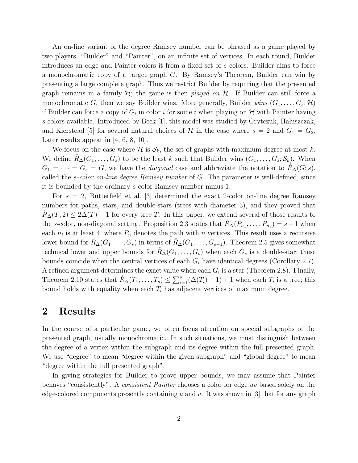An on-line variant of the degree Ramsey number can be phrased as a game played by two players, "Builder" and "Painter", on an infinite set of vertices. In each round, Builder introduces an edge and Painter colors it from a fixed set of s colors. Builder aims to force a monochromatic copy of a target graph G. By Ramsey's Theorem, Builder can win by presenting a large complete graph. Thus we restrict Builder by requiring that the presented graph remains in a family  $H$ ; the game is then played on  $H$ . If Builder can still force a monochromatic G, then we say Builder wins. More generally, Builder wins  $(G_1, \ldots, G_s; \mathcal{H})$ if Builder can force a copy of  $G_i$  in color i for some i when playing on  $\mathcal H$  with Painter having s colors available. Introduced by Beck  $[1]$ , this model was studied by Grytczuk, Hałuszczak, and Kierstead [5] for several natural choices of  $\mathcal H$  in the case where  $s = 2$  and  $G_1 = G_2$ . Later results appear in  $[4, 6, 8, 10]$ .

We focus on the case where H is  $\mathcal{S}_k$ , the set of graphs with maximum degree at most k. We define  $R_{\Delta}(G_1,\ldots,G_s)$  to be the least k such that Builder wins  $(G_1,\ldots,G_s; S_k)$ . When  $G_1 = \cdots = G_s = G$ , we have the *diagonal* case and abbreviate the notation to  $R_{\Delta}(G; s)$ , called the s-color on-line degree Ramsey number of G. The parameter is well-defined, since it is bounded by the ordinary s-color Ramsey number minus 1.

For  $s = 2$ , Butterfield et al. [3] determined the exact 2-color on-line degree Ramsey numbers for paths, stars, and double-stars (trees with diameter 3), and they proved that  $R_{\Delta}(T; 2) \leq 2\Delta(T) - 1$  for every tree T. In this paper, we extend several of those results to the s-color, non-diagonal setting. Proposition 2.3 states that  $\mathring{R}_{\Delta}(P_{n_1}, \ldots, P_{n_s}) = s+1$  when each  $n_i$  is at least 4, where  $P_n$  denotes the path with n vertices. This result uses a recursive lower bound for  $R_{\Delta}(G_1,\ldots,G_s)$  in terms of  $R_{\Delta}(G_1,\ldots,G_{s-1})$ . Theorem 2.5 gives somewhat technical lower and upper bounds for  $R_{\Delta}(G_1,\ldots,G_s)$  when each  $G_s$  is a double-star; these bounds coincide when the central vertices of each  $G_i$  have identical degrees (Corollary 2.7). A refined argument determines the exact value when each  $G_i$  is a star (Theorem 2.8). Finally, Theorem 2.10 states that  $\mathring{R}_{\Delta}(T_1,\ldots,T_s) \leq \sum_{i=1}^s (\Delta(T_i)-1)+1$  when each  $T_i$  is a tree; this bound holds with equality when each  $T_i$  has adjacent vertices of maximum degree.

#### 2 Results

In the course of a particular game, we often focus attention on special subgraphs of the presented graph, usually monochromatic. In such situations, we must distinguish between the degree of a vertex within the subgraph and its degree within the full presented graph. We use "degree" to mean "degree within the given subgraph" and "global degree" to mean "degree within the full presented graph".

In giving strategies for Builder to prove upper bounds, we may assume that Painter behaves "consistently". A consistent Painter chooses a color for edge uv based solely on the edge-colored components presently containing u and v. It was shown in  $\lbrack 3 \rbrack$  that for any graph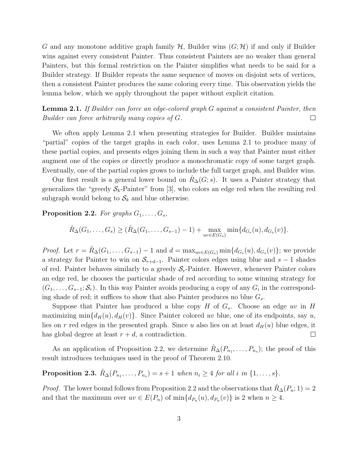G and any monotone additive graph family  $H$ , Builder wins  $(G; H)$  if and only if Builder wins against every consistent Painter. Thus consistent Painters are no weaker than general Painters, but this formal restriction on the Painter simplifies what needs to be said for a Builder strategy. If Builder repeats the same sequence of moves on disjoint sets of vertices, then a consistent Painter produces the same coloring every time. This observation yields the lemma below, which we apply throughout the paper without explicit citation.

**Lemma 2.1.** If Builder can force an edge-colored graph G against a consistent Painter, then Builder can force arbitrarily many copies of G.  $\Box$ 

We often apply Lemma 2.1 when presenting strategies for Builder. Builder maintains "partial" copies of the target graphs in each color, uses Lemma 2.1 to produce many of these partial copies, and presents edges joining them in such a way that Painter must either augment one of the copies or directly produce a monochromatic copy of some target graph. Eventually, one of the partial copies grows to include the full target graph, and Builder wins.

Our first result is a general lower bound on  $R_{\Delta}(G; s)$ . It uses a Painter strategy that generalizes the "greedy  $S_k$ -Painter" from [3], who colors an edge red when the resulting red subgraph would belong to  $\mathcal{S}_k$  and blue otherwise.

**Proposition 2.2.** For graphs  $G_1, \ldots, G_s$ ,

$$
\mathring{R}_{\Delta}(G_1, \ldots, G_s) \geq (\mathring{R}_{\Delta}(G_1, \ldots, G_{s-1}) - 1) + \max_{uv \in E(G_s)} \min \{d_{G_s}(u), d_{G_s}(v)\}.
$$

*Proof.* Let  $r = \mathring{R}_{\Delta}(G_1, \ldots, G_{s-1}) - 1$  and  $d = \max_{uv \in E(G_s)} \min\{d_{G_s}(u), d_{G_s}(v)\}\;$  we provide a strategy for Painter to win on  $S_{r+d-1}$ . Painter colors edges using blue and s – 1 shades of red. Painter behaves similarly to a greedy  $S_r$ -Painter. However, whenever Painter colors an edge red, he chooses the particular shade of red according to some winning strategy for  $(G_1, \ldots, G_{s-1}; \mathcal{S}_r)$ . In this way Painter avoids producing a copy of any  $G_i$  in the corresponding shade of red; it suffices to show that also Painter produces no blue  $G_s$ .

Suppose that Painter has produced a blue copy H of  $G_s$ . Choose an edge uv in H maximizing min $\{d_H(u), d_H(v)\}\)$ . Since Painter colored uv blue, one of its endpoints, say u, lies on r red edges in the presented graph. Since u also lies on at least  $d_H(u)$  blue edges, it has global degree at least  $r + d$ , a contradiction.  $\Box$ 

As an application of Proposition 2.2, we determine  $\mathring{R}_{\Delta}(P_{n_1},\ldots,P_{n_s})$ ; the proof of this result introduces techniques used in the proof of Theorem 2.10.

**Proposition 2.3.**  $\mathring{R}_{\Delta}(P_{n_1}, \ldots, P_{n_s}) = s + 1$  when  $n_i \geq 4$  for all i in  $\{1, \ldots, s\}$ .

*Proof.* The lower bound follows from Proposition 2.2 and the observations that  $R_{\Delta}(P_n; 1) = 2$ and that the maximum over  $uv \in E(P_n)$  of  $\min\{d_{P_n}(u), d_{P_n}(v)\}\$ is 2 when  $n \geq 4$ .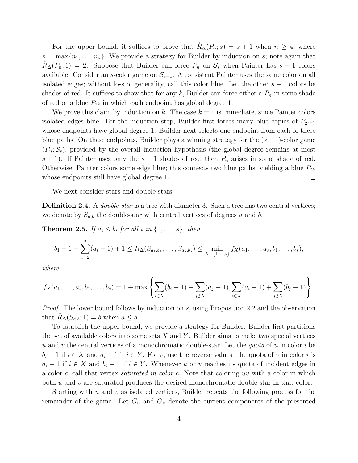For the upper bound, it suffices to prove that  $R_{\Delta}(P_n; s) = s + 1$  when  $n \geq 4$ , where  $n = \max\{n_1, \ldots, n_s\}$ . We provide a strategy for Builder by induction on s; note again that  $R_{\Delta}(P_n; 1) = 2$ . Suppose that Builder can force  $P_n$  on  $S_s$  when Painter has  $s - 1$  colors available. Consider an s-color game on  $S_{s+1}$ . A consistent Painter uses the same color on all isolated edges; without loss of generality, call this color blue. Let the other  $s - 1$  colors be shades of red. It suffices to show that for any k, Builder can force either a  $P_n$  in some shade of red or a blue  $P_{2^k}$  in which each endpoint has global degree 1.

We prove this claim by induction on k. The case  $k = 1$  is immediate, since Painter colors isolated edges blue. For the induction step, Builder first forces many blue copies of  $P_{2^{k-1}}$ whose endpoints have global degree 1. Builder next selects one endpoint from each of these blue paths. On these endpoints, Builder plays a winning strategy for the  $(s - 1)$ -color game  $(P_n; S_s)$ , provided by the overall induction hypothesis (the global degree remains at most s + 1). If Painter uses only the s – 1 shades of red, then  $P_n$  arises in some shade of red. Otherwise, Painter colors some edge blue; this connects two blue paths, yielding a blue  $P_{2^k}$ whose endpoints still have global degree 1.  $\Box$ 

We next consider stars and double-stars.

**Definition 2.4.** A *double-star* is a tree with diameter 3. Such a tree has two central vertices; we denote by  $S_{a,b}$  the double-star with central vertices of degrees a and b.

**Theorem 2.5.** If  $a_i \leq b_i$  for all i in  $\{1, \ldots, s\}$ , then

$$
b_1-1+\sum_{i=2}^s(a_i-1)+1\leq \mathring{R}_{\Delta}(S_{a_1,b_1},\ldots,S_{a_s,b_s})\leq \min_{X\subseteq\{1,\ldots,s\}}f_X(a_1,\ldots,a_s,b_1,\ldots,b_s),
$$

where

$$
f_X(a_1,\ldots,a_s,b_1,\ldots,b_s) = 1 + \max\left\{\sum_{i\in X} (b_i-1) + \sum_{j\notin X} (a_j-1), \sum_{i\in X} (a_i-1) + \sum_{j\notin X} (b_j-1)\right\}.
$$

Proof. The lower bound follows by induction on s, using Proposition 2.2 and the observation that  $R_{\Delta}(S_{a,b}; 1) = b$  when  $a \leq b$ .

To establish the upper bound, we provide a strategy for Builder. Builder first partitions the set of available colors into some sets  $X$  and  $Y$ . Builder aims to make two special vertices u and v the central vertices of a monochromatic double-star. Let the *quota* of u in color i be  $b_i - 1$  if  $i \in X$  and  $a_i - 1$  if  $i \in Y$ . For v, use the reverse values: the quota of v in color i is  $a_i - 1$  if  $i \in X$  and  $b_i - 1$  if  $i \in Y$ . Whenever u or v reaches its quota of incident edges in a color c, call that vertex saturated in color c. Note that coloring uv with a color in which both  $u$  and  $v$  are saturated produces the desired monochromatic double-star in that color.

Starting with  $u$  and  $v$  as isolated vertices, Builder repeats the following process for the remainder of the game. Let  $G_u$  and  $G_v$  denote the current components of the presented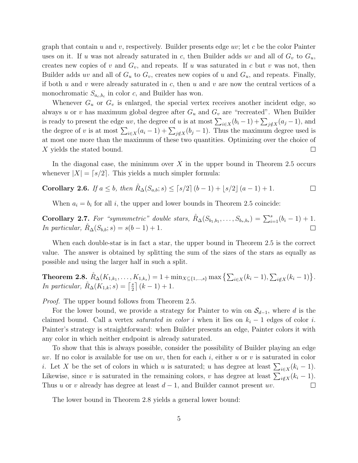graph that contain u and v, respectively. Builder presents edge uv; let c be the color Painter uses on it. If u was not already saturated in c, then Builder adds uv and all of  $G_v$  to  $G_u$ , creates new copies of v and  $G_v$ , and repeats. If u was saturated in c but v was not, then Builder adds uv and all of  $G_u$  to  $G_v$ , creates new copies of u and  $G_u$ , and repeats. Finally, if both u and v were already saturated in c, then u and v are now the central vertices of a monochromatic  $S_{a_c,b_c}$  in color c, and Builder has won.

Whenever  $G_u$  or  $G_v$  is enlarged, the special vertex receives another incident edge, so always u or v has maximum global degree after  $G_u$  and  $G_v$  are "recreated". When Builder is ready to present the edge uv, the degree of u is at most  $\sum_{i\in X}(b_i-1)+\sum_{j\notin X}(a_j-1)$ , and the degree of v is at most  $\sum_{i\in X}(a_i-1) + \sum_{j\notin X}(b_j-1)$ . Thus the maximum degree used is at most one more than the maximum of these two quantities. Optimizing over the choice of X yields the stated bound.  $\Box$ 

In the diagonal case, the minimum over X in the upper bound in Theorem 2.5 occurs whenever  $|X| = \lfloor s/2 \rfloor$ . This yields a much simpler formula:

**Corollary 2.6.** If 
$$
a \le b
$$
, then  $\mathring{R}_{\Delta}(S_{a,b}; s) \le [s/2] (b-1) + \lfloor s/2 \rfloor (a-1) + 1$ .

When  $a_i = b_i$  for all i, the upper and lower bounds in Theorem 2.5 coincide:

Corollary 2.7. For "symmmetric" double stars,  $\mathring{R}_{\Delta}(S_{b_1,b_1},\ldots,S_{b_s,b_s}) = \sum_{i=1}^s (b_i-1) + 1$ . In particular,  $\hat{R}_{\Delta}(S_{b,b}; s) = s(b-1) + 1.$  $\Box$ 

When each double-star is in fact a star, the upper bound in Theorem 2.5 is the correct value. The answer is obtained by splitting the sum of the sizes of the stars as equally as possible and using the larger half in such a split.

Theorem 2.8.  $\mathring{R}_{\Delta}(K_{1,k_1},\ldots,K_{1,k_s}) = 1 + \min_{X \subseteq \{1,\ldots,s\}} \max\left\{ \sum_{i \in X} (k_i - 1), \sum_{i \notin X} (k_i - 1) \right\}.$ In particular,  $\mathring{R}_{\Delta}(K_{1,k};s) = \left[\frac{s}{2}\right]$  $\frac{s}{2} \mid (k-1) + 1.$ 

Proof. The upper bound follows from Theorem 2.5.

For the lower bound, we provide a strategy for Painter to win on  $\mathcal{S}_{d-1}$ , where d is the claimed bound. Call a vertex *saturated in color i* when it lies on  $k_i - 1$  edges of color *i*. Painter's strategy is straightforward: when Builder presents an edge, Painter colors it with any color in which neither endpoint is already saturated.

To show that this is always possible, consider the possibility of Builder playing an edge uv. If no color is available for use on uv, then for each i, either u or v is saturated in color *i*. Let X be the set of colors in which u is saturated; u has degree at least  $\sum_{i \in X} (k_i - 1)$ . Likewise, since v is saturated in the remaining colors, v has degree at least  $\sum_{i \notin X} (k_i - 1)$ . Thus u or v already has degree at least  $d-1$ , and Builder cannot present uv.  $\Box$ 

The lower bound in Theorem 2.8 yields a general lower bound: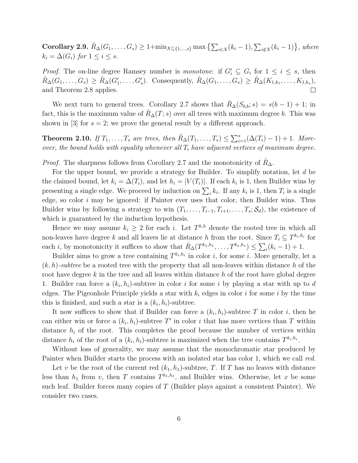Corollary 2.9.  $\mathring{R}_{\Delta}(G_1,\ldots,G_s) \geq 1+\min_{X \subseteq \{1,\ldots,s\}} \max\left\{ \sum_{i \in X}(k_i-1), \sum_{i \notin X}(k_i-1) \right\}$ , where  $k_i = \Delta(G_i)$  for  $1 \leq i \leq s$ .

*Proof.* The on-line degree Ramsey number is monotone: if  $G'_i \subseteq G_i$  for  $1 \leq i \leq s$ , then  $\mathring{R}_{\Delta}(G_1,\ldots,G_s) \geq \mathring{R}_{\Delta}(G'_1,\ldots,G'_s)$ . Consequently,  $\mathring{R}_{\Delta}(G_1,\ldots,G_s) \geq \mathring{R}_{\Delta}(K_{1,k_1},\ldots,K_{1,k_s}),$ and Theorem 2.8 applies.  $\Box$ 

We next turn to general trees. Corollary 2.7 shows that  $R_{\Delta}(S_{b,b}; s) = s(b-1) + 1$ ; in fact, this is the maximum value of  $R_{\Delta}(T; s)$  over all trees with maximum degree b. This was shown in  $[3]$  for  $s = 2$ ; we prove the general result by a different approach.

**Theorem 2.10.** If  $T_1, \ldots, T_s$  are trees, then  $\mathring{R}_{\Delta}(T_1, \ldots, T_s) \leq \sum_{i=1}^s (\Delta(T_i) - 1) + 1$ . Moreover, the bound holds with equality whenever all  $T_i$  have adjacent vertices of maximum degree.

*Proof.* The sharpness follows from Corollary 2.7 and the monotonicity of  $R_{\Delta}$ .

For the upper bound, we provide a strategy for Builder. To simplify notation, let d be the claimed bound, let  $k_i = \Delta(T_i)$ , and let  $h_i = |V(T_i)|$ . If each  $k_i$  is 1, then Builder wins by presenting a single edge. We proceed by induction on  $\sum_i k_i$ . If any  $k_i$  is 1, then  $T_i$  is a single edge, so color  $i$  may be ignored: if Painter ever uses that color, then Builder wins. Thus Builder wins by following a strategy to win  $(T_1,\ldots,T_{i-1},T_{i+1},\ldots,T_s;\mathcal{S}_d)$ , the existence of which is guaranteed by the induction hypothesis.

Hence we may assume  $k_i \geq 2$  for each i. Let  $T^{k,h}$  denote the rooted tree in which all non-leaves have degree k and all leaves lie at distance h from the root. Since  $T_i \subseteq T^{k_i,h_i}$  for each *i*, by monotonicity it suffices to show that  $\mathring{R}_{\Delta}(T^{k_1,h_1},\ldots,T^{k_s,h_s}) \leq \sum_i (k_i-1) + 1$ .

Builder aims to grow a tree containing  $T^{k_i,h_i}$  in color i, for some i. More generally, let a  $(k, h)$ -subtree be a rooted tree with the property that all non-leaves within distance h of the root have degree  $k$  in the tree and all leaves within distance  $h$  of the root have global degree 1. Builder can force a  $(k_i, h_i)$ -subtree in color i for some i by playing a star with up to d edges. The Pigeonhole Principle yields a star with  $k_i$  edges in color i for some i by the time this is finished, and such a star is a  $(k_i, h_i)$ -subtree.

It now suffices to show that if Builder can force a  $(k_i, h_i)$ -subtree T in color i, then he can either win or force a  $(k_i, h_i)$ -subtree T' in color i that has more vertices than T within distance  $h_i$  of the root. This completes the proof because the number of vertices within distance  $h_i$  of the root of a  $(k_i, h_i)$ -subtree is maximized when the tree contains  $T^{k_i, h_i}$ .

Without loss of generality, we may assume that the monochromatic star produced by Painter when Builder starts the process with an isolated star has color 1, which we call red.

Let v be the root of the current red  $(k_1, h_1)$ -subtree, T. If T has no leaves with distance less than  $h_1$  from v, then T contains  $T^{k_1,h_1}$ , and Builder wins. Otherwise, let x be some such leaf. Builder forces many copies of  $T$  (Builder plays against a consistent Painter). We consider two cases.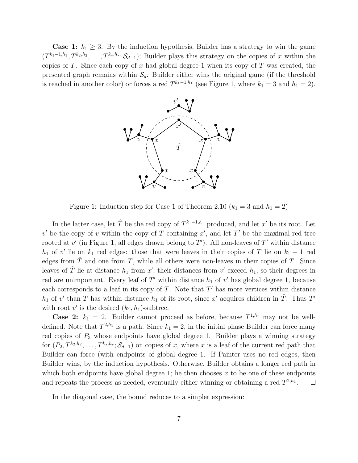**Case 1:**  $k_1 \geq 3$ . By the induction hypothesis, Builder has a strategy to win the game  $(T^{k_1-1,h_1}, T^{k_2,h_2}, \ldots, T^{k_s,h_s}; \mathcal{S}_{d-1})$ ; Builder plays this strategy on the copies of x within the copies of T. Since each copy of x had global degree 1 when its copy of T was created, the presented graph remains within  $S_d$ . Builder either wins the original game (if the threshold is reached in another color) or forces a red  $T^{k_1-1,h_1}$  (see Figure 1, where  $k_1 = 3$  and  $h_1 = 2$ ).



Figure 1: Induction step for Case 1 of Theorem 2.10  $(k_1 = 3 \text{ and } h_1 = 2)$ 

In the latter case, let  $\hat{T}$  be the red copy of  $T^{k_1-1,h_1}$  produced, and let  $x'$  be its root. Let  $v'$  be the copy of v within the copy of T containing  $x'$ , and let T' be the maximal red tree rooted at  $v'$  (in Figure 1, all edges drawn belong to  $T'$ ). All non-leaves of  $T'$  within distance  $h_1$  of v' lie on  $k_1$  red edges: those that were leaves in their copies of T lie on  $k_1 - 1$  red edges from  $\hat{T}$  and one from T, while all others were non-leaves in their copies of T. Since leaves of  $\hat{T}$  lie at distance  $h_1$  from x', their distances from v' exceed  $h_1$ , so their degrees in red are unimportant. Every leaf of  $T'$  within distance  $h_1$  of  $v'$  has global degree 1, because each corresponds to a leaf in its copy of  $T$ . Note that  $T'$  has more vertices within distance  $h_1$  of v' than T has within distance  $h_1$  of its root, since x' acquires children in  $\hat{T}$ . Thus T' with root  $v'$  is the desired  $(k_1, h_1)$ -subtree.

**Case 2:**  $k_1 = 2$ . Builder cannot proceed as before, because  $T^{1,h_1}$  may not be welldefined. Note that  $T^{2,h_1}$  is a path. Since  $k_1 = 2$ , in the initial phase Builder can force many red copies of  $P_3$  whose endpoints have global degree 1. Builder plays a winning strategy for  $(P_2, T^{k_2, h_2}, \ldots, T^{k_s, h_s}; \mathcal{S}_{d-1})$  on copies of x, where x is a leaf of the current red path that Builder can force (with endpoints of global degree 1. If Painter uses no red edges, then Builder wins, by the induction hypothesis. Otherwise, Builder obtains a longer red path in which both endpoints have global degree 1; he then chooses  $x$  to be one of these endpoints and repeats the process as needed, eventually either winning or obtaining a red  $T^{2,h_1}$ .  $\Box$ 

In the diagonal case, the bound reduces to a simpler expression: